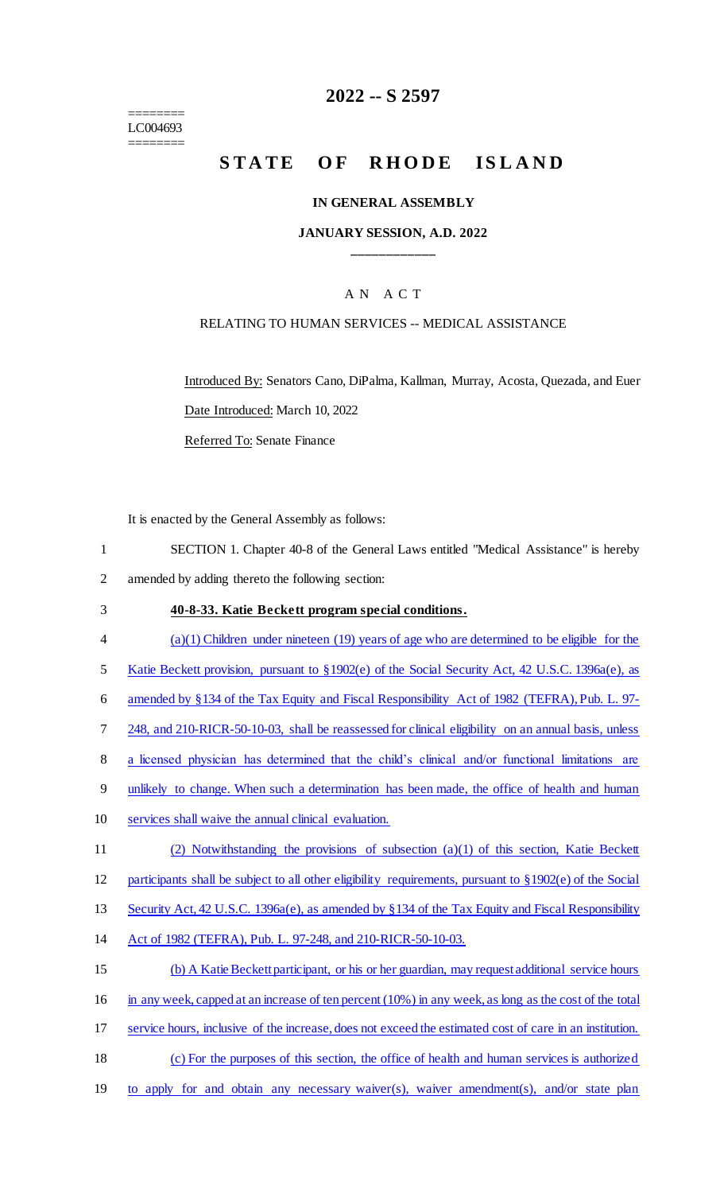======== LC004693 ========

# **2022 -- S 2597**

# STATE OF RHODE ISLAND

#### **IN GENERAL ASSEMBLY**

#### **JANUARY SESSION, A.D. 2022 \_\_\_\_\_\_\_\_\_\_\_\_**

## A N A C T

#### RELATING TO HUMAN SERVICES -- MEDICAL ASSISTANCE

Introduced By: Senators Cano, DiPalma, Kallman, Murray, Acosta, Quezada, and Euer Date Introduced: March 10, 2022

Referred To: Senate Finance

It is enacted by the General Assembly as follows:

- 1 SECTION 1. Chapter 40-8 of the General Laws entitled "Medical Assistance" is hereby 2 amended by adding thereto the following section:
- 3 **40-8-33. Katie Beckett program special conditions.**
- 4 (a)(1) Children under nineteen (19) years of age who are determined to be eligible for the
- 5 Katie Beckett provision, pursuant to §1902(e) of the Social Security Act, 42 U.S.C. 1396a(e), as
- 6 amended by §134 of the Tax Equity and Fiscal Responsibility Act of 1982 (TEFRA), Pub. L. 97-

7 248, and 210-RICR-50-10-03, shall be reassessed for clinical eligibility on an annual basis, unless

- 8 a licensed physician has determined that the child's clinical and/or functional limitations are
- 9 unlikely to change. When such a determination has been made, the office of health and human
- 10 services shall waive the annual clinical evaluation.
- 11 (2) Notwithstanding the provisions of subsection (a)(1) of this section, Katie Beckett
- 12 participants shall be subject to all other eligibility requirements, pursuant to §1902(e) of the Social
- 13 Security Act, 42 U.S.C. 1396a(e), as amended by §134 of the Tax Equity and Fiscal Responsibility
- 14 Act of 1982 (TEFRA), Pub. L. 97-248, and 210-RICR-50-10-03.
- 15 (b) A Katie Beckett participant, or his or her guardian, may request additional service hours 16 in any week, capped at an increase of ten percent (10%) in any week, as long as the cost of the total 17 service hours, inclusive of the increase, does not exceed the estimated cost of care in an institution. 18 (c) For the purposes of this section, the office of health and human services is authorized
- 19 to apply for and obtain any necessary waiver(s), waiver amendment(s), and/or state plan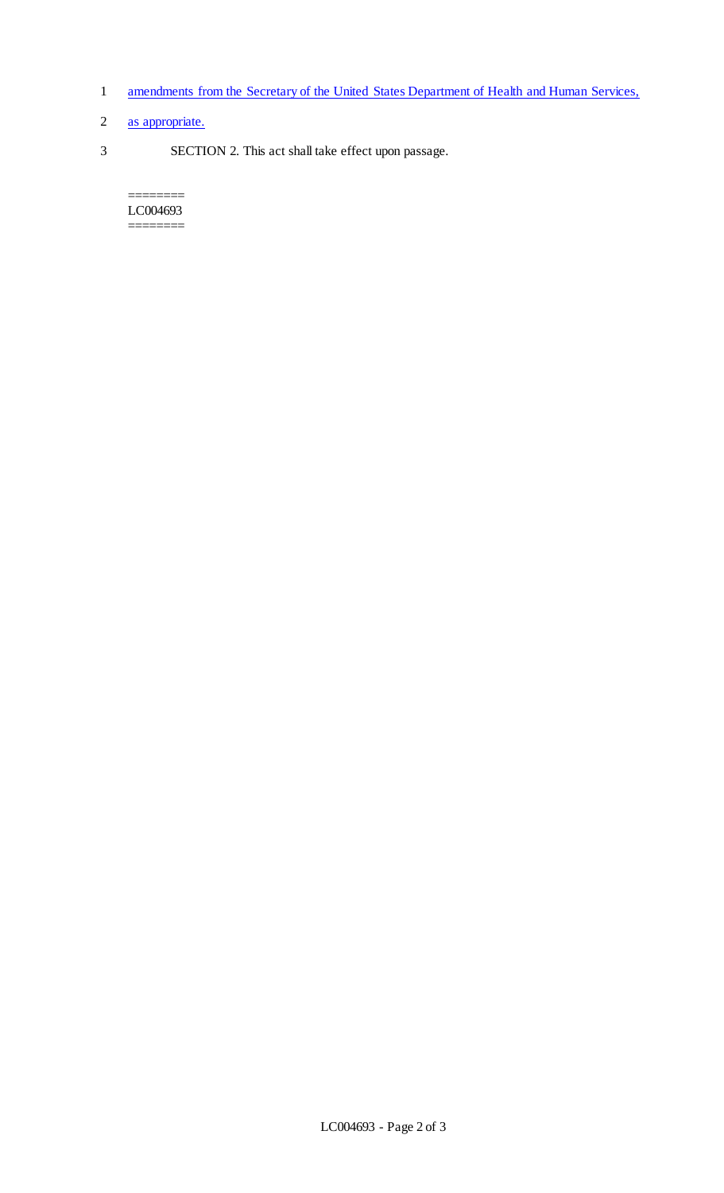- 1 amendments from the Secretary of the United States Department of Health and Human Services,
- 2 as appropriate.
- 3 SECTION 2. This act shall take effect upon passage.

======== LC004693 ========